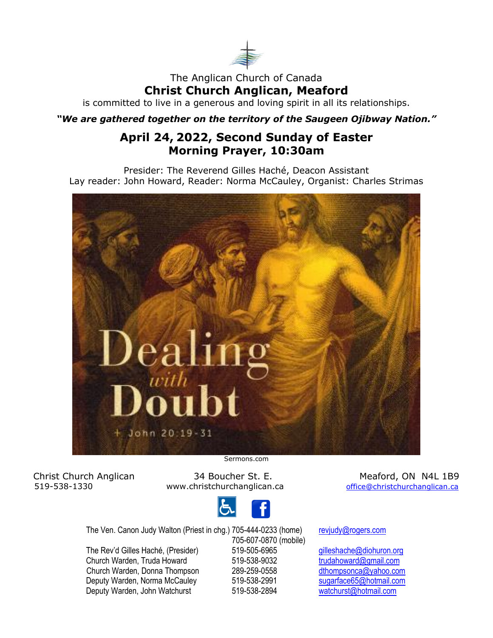

# The Anglican Church of Canada **Christ Church Anglican, Meaford**

is committed to live in a generous and loving spirit in all its relationships.

*"We are gathered together on the territory of the Saugeen Ojibway Nation."*

### **April 24, 2022, Second Sunday of Easter Morning Prayer, 10:30am**

Presider: The Reverend Gilles Haché, Deacon Assistant Lay reader: John Howard, Reader: Norma McCauley, Organist: Charles Strimas



Sermons.com

Christ Church Anglican 34 Boucher St. E. Meaford, ON N4L 1B9 519-538-1330 www.christchurchanglican.ca [office@christchurchanglican.ca](mailto:office@christchurchanglican.ca)



The Ven. Canon Judy Walton (Priest in chg.) 705-444-0233 (home) [revjudy@rogers.com](mailto:revjudy@rogers.com) 705-607-0870 (mobile) The Rev'd Gilles Haché, (Presider) 519-505-6965 [gilleshache@diohuron.org](../Bulletins/gilleshache@diohuron.org) Church Warden, Truda Howard 519-538-9032 [trudahoward@gmail.com](../Bulletins/trudahoward@gmail.com) Church Warden, Donna Thompson 289-259-0558 [dthompsonca@yahoo.com](../Bulletins/dthompsonca@yahoo.com)

Deputy Warden, John Watchurst 519-538-2894

Deputy Warden, Norma McCauley 519-538-2991 [sugarface65@hotmail.com](../Bulletins/sugarface65@hotmail.com)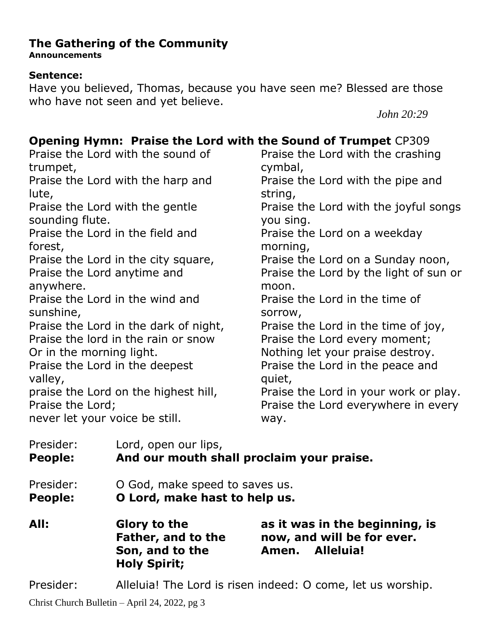### **The Gathering of the Community Announcements**

### **Sentence:**

Have you believed, Thomas, because you have seen me? Blessed are those who have not seen and yet believe.

*John 20:29*

### **Opening Hymn: Praise the Lord with the Sound of Trumpet** CP309 Praise the Lord with the sound of trumpet, Praise the Lord with the harp and lute, Praise the Lord with the gentle sounding flute. Praise the Lord in the field and forest, Praise the Lord in the city square, Praise the Lord anytime and anywhere. Praise the Lord in the wind and sunshine, Praise the Lord in the dark of night, Praise the lord in the rain or snow Or in the morning light. Praise the Lord in the deepest valley, praise the Lord on the highest hill, Praise the Lord; never let your voice be still. Praise the Lord with the crashing cymbal, Praise the Lord with the pipe and string, Praise the Lord with the joyful songs you sing. Praise the Lord on a weekday morning, Praise the Lord on a Sunday noon, Praise the Lord by the light of sun or moon. Praise the Lord in the time of sorrow, Praise the Lord in the time of joy, Praise the Lord every moment; Nothing let your praise destroy. Praise the Lord in the peace and quiet, Praise the Lord in your work or play. Praise the Lord everywhere in every way.

| Presider: | Lord, open our lips,                                                         |                                                                                           |
|-----------|------------------------------------------------------------------------------|-------------------------------------------------------------------------------------------|
| People:   | And our mouth shall proclaim your praise.                                    |                                                                                           |
| Presider: | O God, make speed to saves us.                                               |                                                                                           |
| People:   | O Lord, make hast to help us.                                                |                                                                                           |
| All:      | Glory to the<br>Father, and to the<br>Son, and to the<br><b>Holy Spirit;</b> | as it was in the beginning, is<br>now, and will be for ever.<br><b>Alleluia!</b><br>Amen. |
| Presider: | Alleluia! The Lord is risen indeed: O come, let us worship.                  |                                                                                           |

Christ Church Bulletin – April 24, 2022, pg 3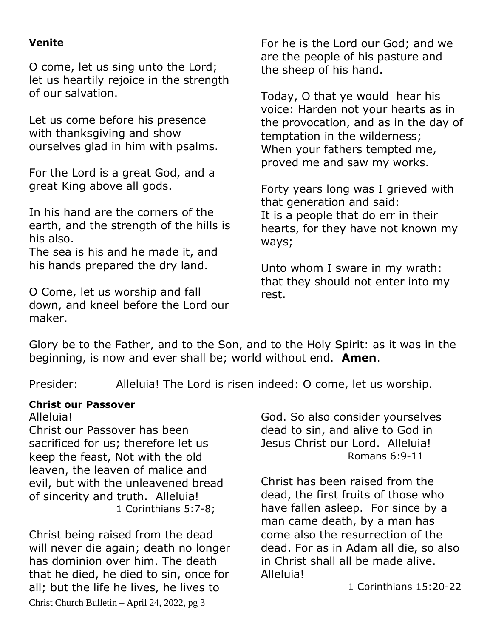### **Venite**

O come, let us sing unto the Lord; let us heartily rejoice in the strength of our salvation.

Let us come before his presence with thanksgiving and show ourselves glad in him with psalms.

For the Lord is a great God, and a great King above all gods.

In his hand are the corners of the earth, and the strength of the hills is his also.

The sea is his and he made it, and his hands prepared the dry land.

O Come, let us worship and fall down, and kneel before the Lord our maker.

For he is the Lord our God; and we are the people of his pasture and the sheep of his hand.

Today, O that ye would hear his voice: Harden not your hearts as in the provocation, and as in the day of temptation in the wilderness; When your fathers tempted me, proved me and saw my works.

Forty years long was I grieved with that generation and said: It is a people that do err in their hearts, for they have not known my ways;

Unto whom I sware in my wrath: that they should not enter into my rest.

Glory be to the Father, and to the Son, and to the Holy Spirit: as it was in the beginning, is now and ever shall be; world without end. **Amen**.

Presider: Alleluia! The Lord is risen indeed: O come, let us worship.

### **Christ our Passover**

Alleluia!

Christ our Passover has been sacrificed for us; therefore let us keep the feast, Not with the old leaven, the leaven of malice and evil, but with the unleavened bread of sincerity and truth. Alleluia! 1 Corinthians 5:7-8;

Christ Church Bulletin – April 24, 2022, pg 3 Christ being raised from the dead will never die again; death no longer has dominion over him. The death that he died, he died to sin, once for all; but the life he lives, he lives to

God. So also consider yourselves dead to sin, and alive to God in Jesus Christ our Lord. Alleluia! Romans 6:9-11

Christ has been raised from the dead, the first fruits of those who have fallen asleep. For since by a man came death, by a man has come also the resurrection of the dead. For as in Adam all die, so also in Christ shall all be made alive. Alleluia!

1 Corinthians 15:20-22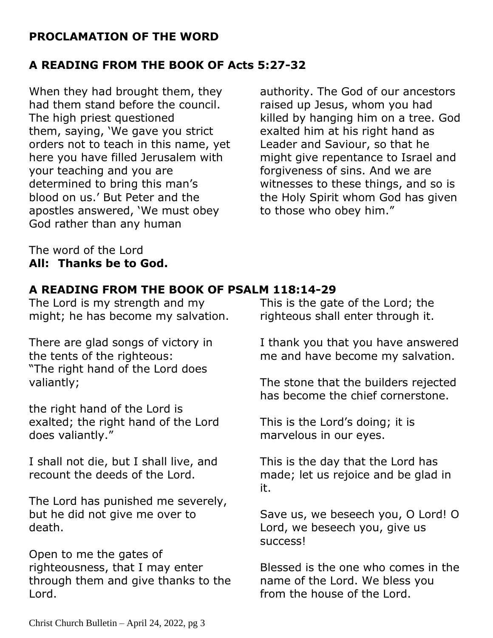# **PROCLAMATION OF THE WORD**

# **A READING FROM THE BOOK OF Acts 5:27-32**

When they had brought them, they had them stand before the council. The high priest questioned them, saying, 'We gave you strict orders not to teach in this name, yet here you have filled Jerusalem with your teaching and you are determined to bring this man's blood on us.' But Peter and the apostles answered, 'We must obey God rather than any human

authority. The God of our ancestors raised up Jesus, whom you had killed by hanging him on a tree. God exalted him at his right hand as Leader and Saviour, so that he might give repentance to Israel and forgiveness of sins. And we are witnesses to these things, and so is the Holy Spirit whom God has given to those who obey him."

The word of the Lord **All: Thanks be to God.** 

## **A READING FROM THE BOOK OF PSALM 118:14-29**

The Lord is my strength and my might; he has become my salvation.

There are glad songs of victory in the tents of the righteous: "The right hand of the Lord does valiantly;

the right hand of the Lord is exalted; the right hand of the Lord does valiantly."

I shall not die, but I shall live, and recount the deeds of the Lord.

The Lord has punished me severely, but he did not give me over to death.

Open to me the gates of righteousness, that I may enter through them and give thanks to the Lord.

This is the gate of the Lord; the righteous shall enter through it.

I thank you that you have answered me and have become my salvation.

The stone that the builders rejected has become the chief cornerstone.

This is the Lord's doing; it is marvelous in our eyes.

This is the day that the Lord has made; let us rejoice and be glad in it.

Save us, we beseech you, O Lord! O Lord, we beseech you, give us success!

Blessed is the one who comes in the name of the Lord. We bless you from the house of the Lord.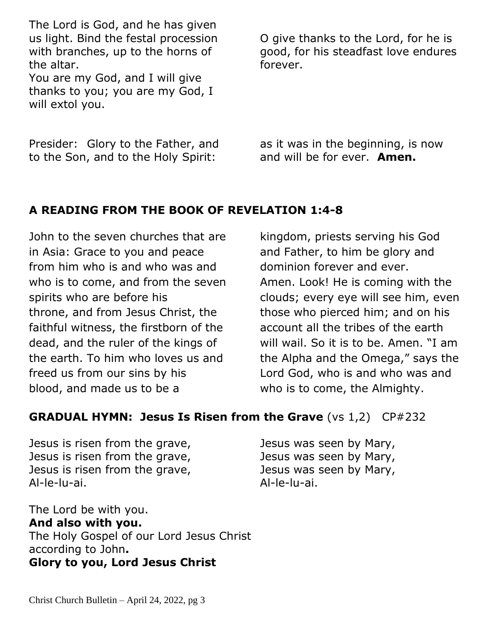The Lord is God, and he has given us light. Bind the festal procession with branches, up to the horns of the altar.

You are my God, and I will give thanks to you; you are my God, I will extol you.

Presider: Glory to the Father, and to the Son, and to the Holy Spirit:

O give thanks to the Lord, for he is good, for his steadfast love endures forever.

as it was in the beginning, is now and will be for ever. **Amen.**

# **A READING FROM THE BOOK OF REVELATION 1:4-8**

John to the seven churches that are in Asia: Grace to you and peace from him who is and who was and who is to come, and from the seven spirits who are before his throne, and from Jesus Christ, the faithful witness, the firstborn of the dead, and the ruler of the kings of the earth. To him who loves us and freed us from our sins by his blood, and made us to be a

kingdom, priests serving his God and Father, to him be glory and dominion forever and ever. Amen. Look! He is coming with the clouds; every eye will see him, even those who pierced him; and on his account all the tribes of the earth will wail. So it is to be. Amen. "I am the Alpha and the Omega," says the Lord God, who is and who was and who is to come, the Almighty.

# **GRADUAL HYMN: Jesus Is Risen from the Grave** (vs 1,2) CP#232

Jesus is risen from the grave, Jesus is risen from the grave, Jesus is risen from the grave, Al-le-lu-ai.

The Lord be with you. **And also with you.**  The Holy Gospel of our Lord Jesus Christ according to John**. Glory to you, Lord Jesus Christ**

Jesus was seen by Mary, Jesus was seen by Mary, Jesus was seen by Mary, Al-le-lu-ai.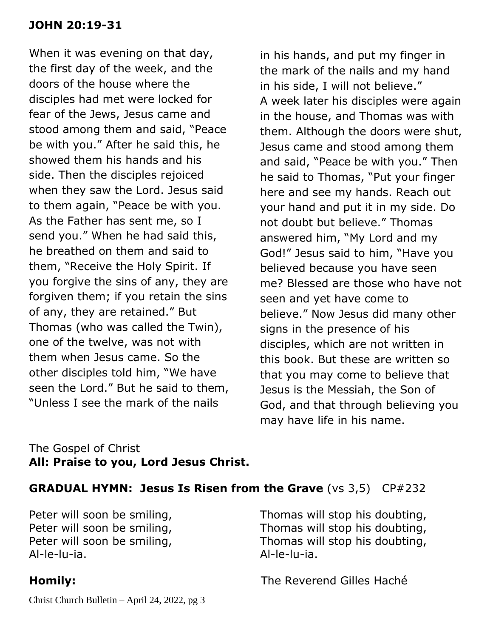When it was evening on that day, the first day of the week, and the doors of the house where the disciples had met were locked for fear of the Jews, Jesus came and stood among them and said, "Peace be with you." After he said this, he showed them his hands and his side. Then the disciples rejoiced when they saw the Lord. Jesus said to them again, "Peace be with you. As the Father has sent me, so I send you." When he had said this, he breathed on them and said to them, "Receive the Holy Spirit. If you forgive the sins of any, they are forgiven them; if you retain the sins of any, they are retained." But Thomas (who was called the Twin), one of the twelve, was not with them when Jesus came. So the other disciples told him, "We have seen the Lord." But he said to them, "Unless I see the mark of the nails

in his hands, and put my finger in the mark of the nails and my hand in his side, I will not believe." A week later his disciples were again in the house, and Thomas was with them. Although the doors were shut, Jesus came and stood among them and said, "Peace be with you." Then he said to Thomas, "Put your finger here and see my hands. Reach out your hand and put it in my side. Do not doubt but believe." Thomas answered him, "My Lord and my God!" Jesus said to him, "Have you believed because you have seen me? Blessed are those who have not seen and yet have come to believe." Now Jesus did many other signs in the presence of his disciples, which are not written in this book. But these are written so that you may come to believe that Jesus is the Messiah, the Son of God, and that through believing you may have life in his name.

# The Gospel of Christ **All: Praise to you, Lord Jesus Christ.**

# **GRADUAL HYMN: Jesus Is Risen from the Grave** (vs 3,5) CP#232

Peter will soon be smiling, Peter will soon be smiling, Peter will soon be smiling, Al-le-lu-ia.

Thomas will stop his doubting, Thomas will stop his doubting, Thomas will stop his doubting, Al-le-lu-ia.

**Homily:** The Reverend Gilles Haché

Christ Church Bulletin – April 24, 2022, pg 3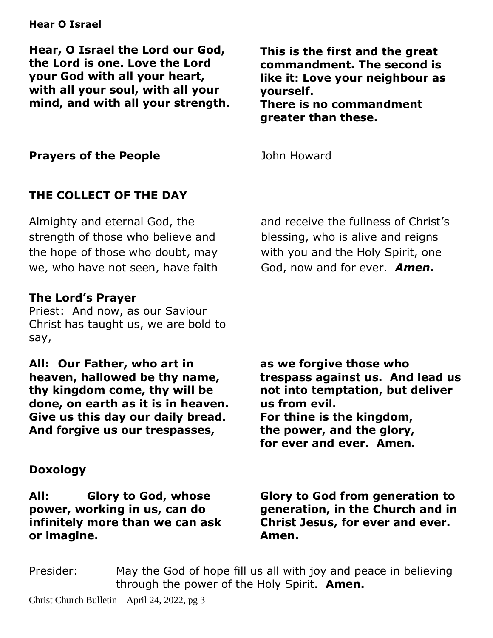### **Hear O Israel**

**Hear, O Israel the Lord our God, the Lord is one. Love the Lord your God with all your heart, with all your soul, with all your mind, and with all your strength.**  **This is the first and the great commandment. The second is like it: Love your neighbour as yourself. There is no commandment greater than these.** 

# **Prayers of the People** John Howard

# **THE COLLECT OF THE DAY**

Almighty and eternal God, the strength of those who believe and the hope of those who doubt, may we, who have not seen, have faith

### **The Lord's Prayer**

Priest: And now, as our Saviour Christ has taught us, we are bold to say,

**All: Our Father, who art in heaven, hallowed be thy name, thy kingdom come, thy will be done, on earth as it is in heaven. Give us this day our daily bread. And forgive us our trespasses,**

### **Doxology**

**All: Glory to God, whose power, working in us, can do infinitely more than we can ask or imagine.** 

and receive the fullness of Christ's blessing, who is alive and reigns with you and the Holy Spirit, one God, now and for ever. *Amen.* 

**as we forgive those who trespass against us. And lead us not into temptation, but deliver us from evil. For thine is the kingdom, the power, and the glory, for ever and ever. Amen.** 

**Glory to God from generation to generation, in the Church and in Christ Jesus, for ever and ever. Amen.**

Presider: May the God of hope fill us all with joy and peace in believing through the power of the Holy Spirit. **Amen.**

Christ Church Bulletin – April 24, 2022, pg 3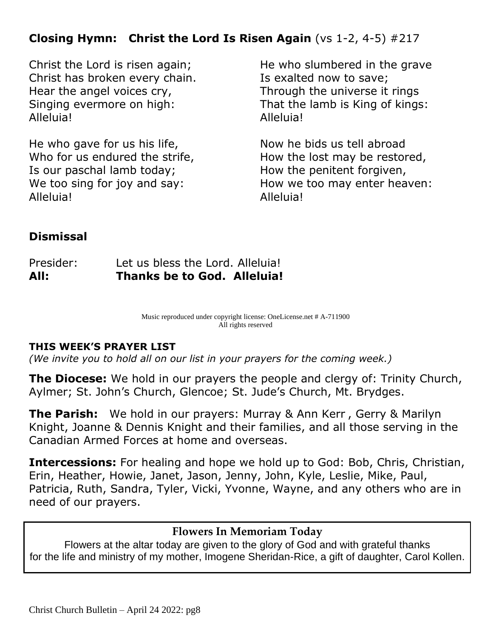# **Closing Hymn: Christ the Lord Is Risen Again** (vs 1-2, 4-5) #217

Christ the Lord is risen again; Christ has broken every chain. Hear the angel voices cry, Singing evermore on high: Alleluia!

He who gave for us his life, Who for us endured the strife, Is our paschal lamb today; We too sing for joy and say: Alleluia!

He who slumbered in the grave Is exalted now to save; Through the universe it rings That the lamb is King of kings: Alleluia!

Now he bids us tell abroad How the lost may be restored, How the penitent forgiven, How we too may enter heaven: Alleluia!

## **Dismissal**

| All:      | <b>Thanks be to God. Alleluia!</b> |
|-----------|------------------------------------|
| Presider: | Let us bless the Lord, Alleluia!   |

Music reproduced under copyright license: OneLicense.net # A-711900 All rights reserved

### **THIS WEEK'S PRAYER LIST**

*(We invite you to hold all on our list in your prayers for the coming week.)*

**The Diocese:** We hold in our prayers the people and clergy of: Trinity Church, Aylmer; St. John's Church, Glencoe; St. Jude's Church, Mt. Brydges.

**The Parish:** We hold in our prayers: Murray & Ann Kerr , Gerry & Marilyn Knight, Joanne & Dennis Knight and their families, and all those serving in the Canadian Armed Forces at home and overseas.

**Intercessions:** For healing and hope we hold up to God: Bob, Chris, Christian, Erin, Heather, Howie, Janet, Jason, Jenny, John, Kyle, Leslie, Mike, Paul, Patricia, Ruth, Sandra, Tyler, Vicki, Yvonne, Wayne, and any others who are in need of our prayers.

### **Flowers In Memoriam Today**

Flowers at the altar today are given to the glory of God and with grateful thanks for the life and ministry of my mother, Imogene Sheridan-Rice, a gift of daughter, Carol Kollen.